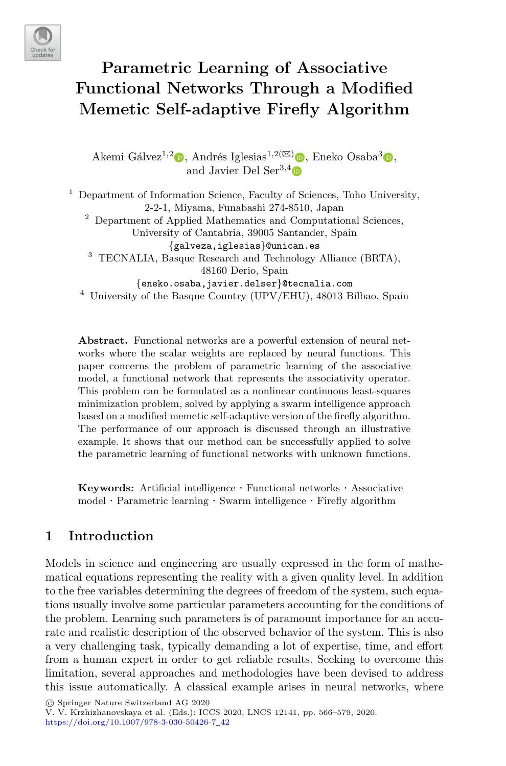

# **Parametric Learning of Associative Functional Networks Through a Modified Memetic Self-adaptive Firefly Algorithm**

Akemi Gálvez<sup>1[,](http://orcid.org/0000-0001-7863-9910)2</sup>  $\bullet$ , Andrés Iglesias<sup>1,2( $\boxtimes$ )  $\bullet$ , Eneko Osaba<sup>3</sup> $\bullet$ ,</sup> and Javier Del Ser<sup>3,[4](http://orcid.org/0000-0002-1260-9775)</sup> $\blacksquare$ 

 $1$  Department of Information Science, Faculty of Sciences, Toho University, 2-2-1, Miyama, Funabashi 274-8510, Japan <sup>2</sup> Department of Applied Mathematics and Computational Sciences, University of Cantabria, 39005 Santander, Spain *{*galveza,iglesias*}*@unican.es <sup>3</sup> TECNALIA, Basque Research and Technology Alliance (BRTA), 48160 Derio, Spain *{*eneko.osaba,javier.delser*}*@tecnalia.com <sup>4</sup> University of the Basque Country (UPV/EHU), 48013 Bilbao, Spain

**Abstract.** Functional networks are a powerful extension of neural networks where the scalar weights are replaced by neural functions. This paper concerns the problem of parametric learning of the associative model, a functional network that represents the associativity operator. This problem can be formulated as a nonlinear continuous least-squares minimization problem, solved by applying a swarm intelligence approach based on a modified memetic self-adaptive version of the firefly algorithm. The performance of our approach is discussed through an illustrative example. It shows that our method can be successfully applied to solve the parametric learning of functional networks with unknown functions.

**Keywords:** Artificial intelligence · Functional networks · Associative model  $\cdot$  Parametric learning  $\cdot$  Swarm intelligence  $\cdot$  Firefly algorithm

# **1 Introduction**

Models in science and engineering are usually expressed in the form of mathematical equations representing the reality with a given quality level. In addition to the free variables determining the degrees of freedom of the system, such equations usually involve some particular parameters accounting for the conditions of the problem. Learning such parameters is of paramount importance for an accurate and realistic description of the observed behavior of the system. This is also a very challenging task, typically demanding a lot of expertise, time, and effort from a human expert in order to get reliable results. Seeking to overcome this limitation, several approaches and methodologies have been devised to address this issue automatically. A classical example arises in neural networks, where

-c Springer Nature Switzerland AG 2020

V. V. Krzhizhanovskaya et al. (Eds.): ICCS 2020, LNCS 12141, pp. 566–579, 2020. [https://doi.org/10.1007/978-3-030-50426-7](https://doi.org/10.1007/978-3-030-50426-7_42)\_42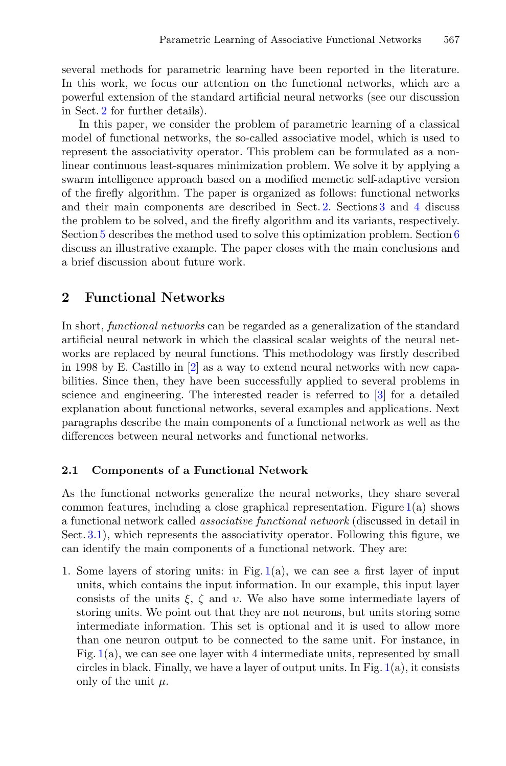several methods for parametric learning have been reported in the literature. In this work, we focus our attention on the functional networks, which are a powerful extension of the standard artificial neural networks (see our discussion in Sect. [2](#page-1-0) for further details).

In this paper, we consider the problem of parametric learning of a classical model of functional networks, the so-called associative model, which is used to represent the associativity operator. This problem can be formulated as a nonlinear continuous least-squares minimization problem. We solve it by applying a swarm intelligence approach based on a modified memetic self-adaptive version of the firefly algorithm. The paper is organized as follows: functional networks and their main components are described in Sect. [2.](#page-1-0) Sections [3](#page-4-0) and [4](#page-6-0) discuss the problem to be solved, and the firefly algorithm and its variants, respectively. Section [5](#page-8-0) describes the method used to solve this optimization problem. Section [6](#page-9-0) discuss an illustrative example. The paper closes with the main conclusions and a brief discussion about future work.

## <span id="page-1-0"></span>**2 Functional Networks**

In short, *functional networks* can be regarded as a generalization of the standard artificial neural network in which the classical scalar weights of the neural networks are replaced by neural functions. This methodology was firstly described in 1998 by E. Castillo in [\[2](#page-12-0)] as a way to extend neural networks with new capabilities. Since then, they have been successfully applied to several problems in science and engineering. The interested reader is referred to [\[3\]](#page-12-1) for a detailed explanation about functional networks, several examples and applications. Next paragraphs describe the main components of a functional network as well as the differences between neural networks and functional networks.

#### **2.1 Components of a Functional Network**

As the functional networks generalize the neural networks, they share several common features, including a close graphical representation. Figure  $1(a)$  $1(a)$  shows a functional network called *associative functional network* (discussed in detail in Sect. [3.1\)](#page-4-1), which represents the associativity operator. Following this figure, we can identify the main components of a functional network. They are:

1. Some layers of storing units: in Fig.  $1(a)$  $1(a)$ , we can see a first layer of input units, which contains the input information. In our example, this input layer consists of the units  $\xi$ ,  $\zeta$  and  $v$ . We also have some intermediate layers of storing units. We point out that they are not neurons, but units storing some intermediate information. This set is optional and it is used to allow more than one neuron output to be connected to the same unit. For instance, in Fig. [1\(](#page-2-0)a), we can see one layer with 4 intermediate units, represented by small circles in black. Finally, we have a layer of output units. In Fig.  $1(a)$  $1(a)$ , it consists only of the unit  $\mu$ .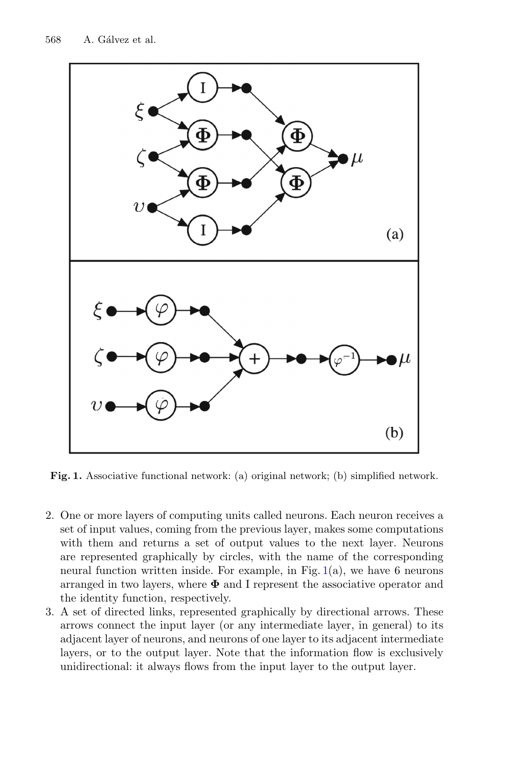

<span id="page-2-0"></span>**Fig. 1.** Associative functional network: (a) original network; (b) simplified network.

- 2. One or more layers of computing units called neurons. Each neuron receives a set of input values, coming from the previous layer, makes some computations with them and returns a set of output values to the next layer. Neurons are represented graphically by circles, with the name of the corresponding neural function written inside. For example, in Fig.  $1(a)$  $1(a)$ , we have 6 neurons arranged in two layers, where **Φ** and I represent the associative operator and the identity function, respectively.
- 3. A set of directed links, represented graphically by directional arrows. These arrows connect the input layer (or any intermediate layer, in general) to its adjacent layer of neurons, and neurons of one layer to its adjacent intermediate layers, or to the output layer. Note that the information flow is exclusively unidirectional: it always flows from the input layer to the output layer.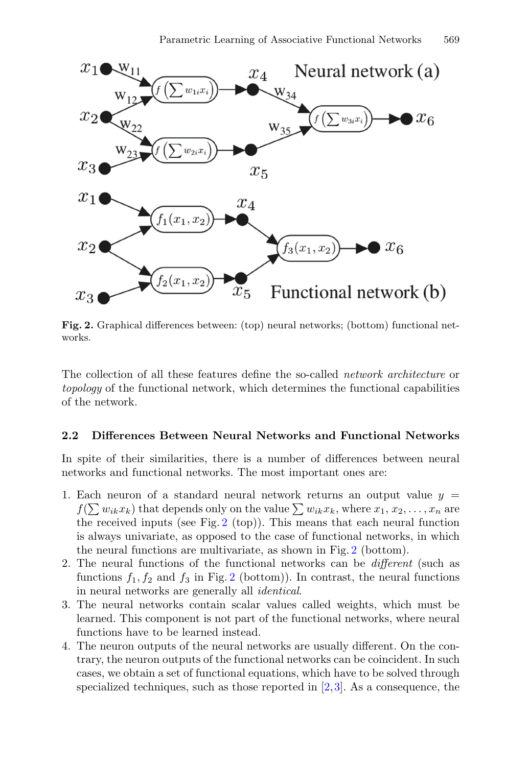

<span id="page-3-0"></span>**Fig. 2.** Graphical differences between: (top) neural networks; (bottom) functional networks.

The collection of all these features define the so-called *network architecture* or *topology* of the functional network, which determines the functional capabilities of the network.

#### **2.2 Differences Between Neural Networks and Functional Networks**

In spite of their similarities, there is a number of differences between neural networks and functional networks. The most important ones are:

- 1. Each neuron of a standard neural network returns an output value  $y =$  $f(\sum w_{ik}x_k)$  that depends only on the value  $\sum w_{ik}x_k$ , where  $x_1, x_2, \ldots, x_n$  are the received inputs (see Fig. [2](#page-3-0) (top)). This means that each neural function is always univariate, as opposed to the case of functional networks, in which the neural functions are multivariate, as shown in Fig. [2](#page-3-0) (bottom).
- 2. The neural functions of the functional networks can be *different* (such as functions  $f_1, f_2$  $f_1, f_2$  and  $f_3$  in Fig. 2 (bottom)). In contrast, the neural functions in neural networks are generally all *identical*.
- 3. The neural networks contain scalar values called weights, which must be learned. This component is not part of the functional networks, where neural functions have to be learned instead.
- 4. The neuron outputs of the neural networks are usually different. On the contrary, the neuron outputs of the functional networks can be coincident. In such cases, we obtain a set of functional equations, which have to be solved through specialized techniques, such as those reported in  $[2,3]$  $[2,3]$  $[2,3]$ . As a consequence, the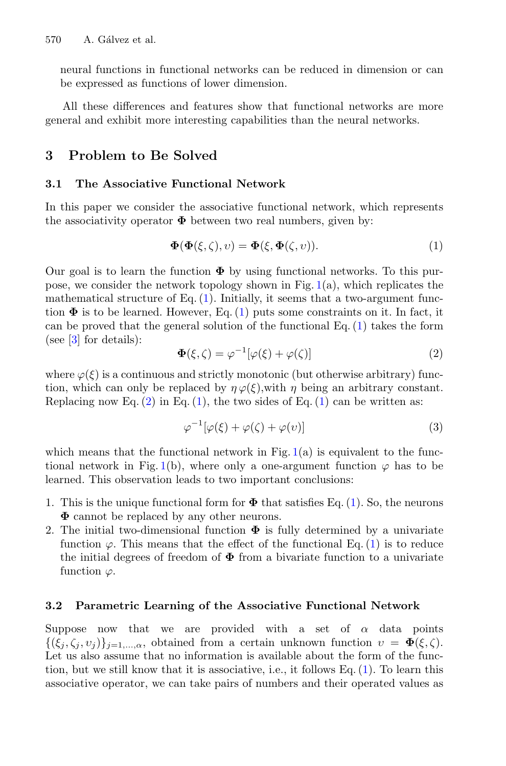neural functions in functional networks can be reduced in dimension or can be expressed as functions of lower dimension.

All these differences and features show that functional networks are more general and exhibit more interesting capabilities than the neural networks.

# <span id="page-4-0"></span>**3 Problem to Be Solved**

### <span id="page-4-1"></span>**3.1 The Associative Functional Network**

In this paper we consider the associative functional network, which represents the associativity operator  $\Phi$  between two real numbers, given by:

<span id="page-4-2"></span>
$$
\mathbf{\Phi}(\mathbf{\Phi}(\xi,\zeta),v) = \mathbf{\Phi}(\xi,\mathbf{\Phi}(\zeta,v)).
$$
\n(1)

Our goal is to learn the function **Φ** by using functional networks. To this purpose, we consider the network topology shown in Fig.  $1(a)$  $1(a)$ , which replicates the mathematical structure of Eq.  $(1)$ . Initially, it seems that a two-argument function  $\Phi$  is to be learned. However, Eq. [\(1\)](#page-4-2) puts some constraints on it. In fact, it can be proved that the general solution of the functional Eq. [\(1\)](#page-4-2) takes the form (see [\[3](#page-12-1)] for details):

<span id="page-4-3"></span>
$$
\Phi(\xi,\zeta) = \varphi^{-1}[\varphi(\xi) + \varphi(\zeta)] \tag{2}
$$

where  $\varphi(\xi)$  is a continuous and strictly monotonic (but otherwise arbitrary) function, which can only be replaced by  $\eta \varphi(\xi)$ , with  $\eta$  being an arbitrary constant. Replacing now Eq.  $(2)$  in Eq.  $(1)$ , the two sides of Eq.  $(1)$  can be written as:

$$
\varphi^{-1}[\varphi(\xi) + \varphi(\zeta) + \varphi(v)]\tag{3}
$$

which means that the functional network in Fig.  $1(a)$  $1(a)$  is equivalent to the func-tional network in Fig. [1\(](#page-2-0)b), where only a one-argument function  $\varphi$  has to be learned. This observation leads to two important conclusions:

- 1. This is the unique functional form for  $\Phi$  that satisfies Eq. [\(1\)](#page-4-2). So, the neurons **Φ** cannot be replaced by any other neurons.
- 2. The initial two-dimensional function  $\Phi$  is fully determined by a univariate function  $\varphi$ . This means that the effect of the functional Eq. [\(1\)](#page-4-2) is to reduce the initial degrees of freedom of **Φ** from a bivariate function to a univariate function  $\varphi$ .

## <span id="page-4-4"></span>**3.2 Parametric Learning of the Associative Functional Network**

Suppose now that we are provided with a set of  $\alpha$  data points  $\{(\xi_i, \zeta_i, v_j)\}_{i=1,\ldots,\alpha}$ , obtained from a certain unknown function  $v = \Phi(\xi, \zeta)$ . Let us also assume that no information is available about the form of the function, but we still know that it is associative, i.e., it follows Eq. [\(1\)](#page-4-2). To learn this associative operator, we can take pairs of numbers and their operated values as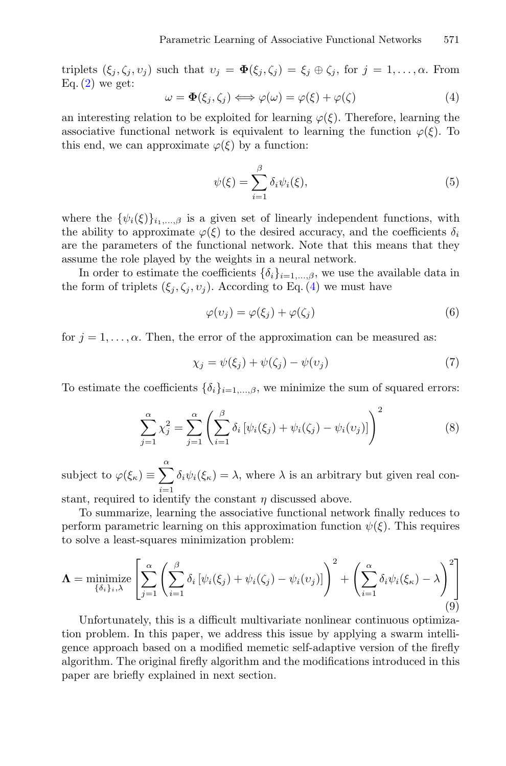triplets  $(\xi_i, \zeta_i, v_j)$  such that  $v_j = \Phi(\xi_i, \zeta_j) = \xi_j \oplus \zeta_j$ , for  $j = 1, \ldots, \alpha$ . From Eq.  $(2)$  we get:

<span id="page-5-0"></span>
$$
\omega = \Phi(\xi_j, \zeta_j) \Longleftrightarrow \varphi(\omega) = \varphi(\xi) + \varphi(\zeta)
$$
\n(4)

an interesting relation to be exploited for learning  $\varphi(\xi)$ . Therefore, learning the associative functional network is equivalent to learning the function  $\varphi(\xi)$ . To this end, we can approximate  $\varphi(\xi)$  by a function:

<span id="page-5-2"></span>
$$
\psi(\xi) = \sum_{i=1}^{\beta} \delta_i \psi_i(\xi),\tag{5}
$$

where the  $\{\psi_i(\xi)\}_{i_1,\dots,\beta}$  is a given set of linearly independent functions, with the ability to approximate  $\varphi(\xi)$  to the desired accuracy, and the coefficients  $\delta_i$ are the parameters of the functional network. Note that this means that they assume the role played by the weights in a neural network.

In order to estimate the coefficients  $\{\delta_i\}_{i=1,\dots,\beta}$ , we use the available data in the form of triplets  $(\xi_i, \zeta_i, v_j)$ . According to Eq. [\(4\)](#page-5-0) we must have

$$
\varphi(v_j) = \varphi(\xi_j) + \varphi(\zeta_j) \tag{6}
$$

for  $j = 1, \ldots, \alpha$ . Then, the error of the approximation can be measured as:

$$
\chi_j = \psi(\xi_j) + \psi(\zeta_j) - \psi(v_j) \tag{7}
$$

To estimate the coefficients  $\{\delta_i\}_{i=1,\dots,\beta}$ , we minimize the sum of squared errors:

$$
\sum_{j=1}^{\alpha} \chi_j^2 = \sum_{j=1}^{\alpha} \left( \sum_{i=1}^{\beta} \delta_i \left[ \psi_i(\xi_j) + \psi_i(\zeta_j) - \psi_i(\psi_j) \right] \right)^2 \tag{8}
$$

subject to  $\varphi(\xi_{\kappa}) \equiv \sum_{i=1}^{\alpha}$  $\delta_i \psi_i(\xi_\kappa) = \lambda$ , where  $\lambda$  is an arbitrary but given real constant, required to identify the constant  $\eta$  discussed above.

To summarize, learning the associative functional network finally reduces to perform parametric learning on this approximation function  $\psi(\xi)$ . This requires to solve a least-squares minimization problem:

<span id="page-5-1"></span>
$$
\Lambda = \underset{\{\delta_i\}_i,\lambda}{\text{minimize}} \left[ \sum_{j=1}^{\alpha} \left( \sum_{i=1}^{\beta} \delta_i \left[ \psi_i(\xi_j) + \psi_i(\zeta_j) - \psi_i(\upsilon_j) \right] \right)^2 + \left( \sum_{i=1}^{\alpha} \delta_i \psi_i(\xi_\kappa) - \lambda \right)^2 \right]
$$
\n(9)

Unfortunately, this is a difficult multivariate nonlinear continuous optimization problem. In this paper, we address this issue by applying a swarm intelligence approach based on a modified memetic self-adaptive version of the firefly algorithm. The original firefly algorithm and the modifications introduced in this paper are briefly explained in next section.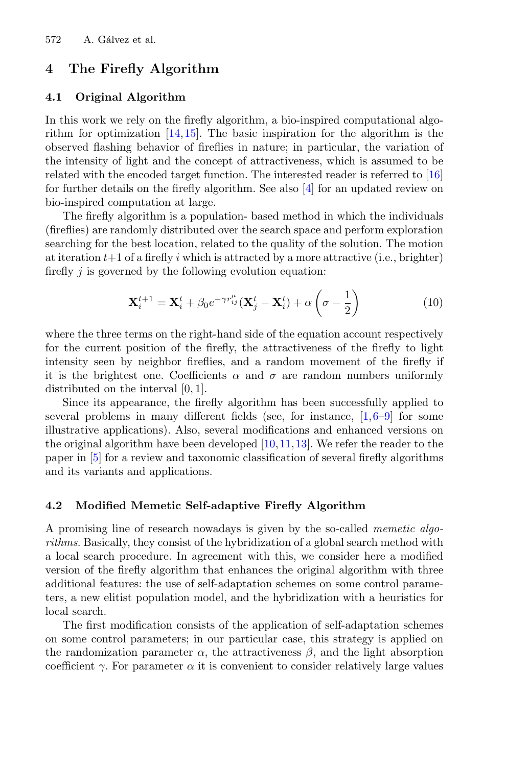# <span id="page-6-0"></span>**4 The Firefly Algorithm**

#### **4.1 Original Algorithm**

In this work we rely on the firefly algorithm, a bio-inspired computational algorithm for optimization  $[14,15]$  $[14,15]$  $[14,15]$ . The basic inspiration for the algorithm is the observed flashing behavior of fireflies in nature; in particular, the variation of the intensity of light and the concept of attractiveness, which is assumed to be related with the encoded target function. The interested reader is referred to [\[16](#page-13-2)] for further details on the firefly algorithm. See also [\[4](#page-12-2)] for an updated review on bio-inspired computation at large.

The firefly algorithm is a population- based method in which the individuals (fireflies) are randomly distributed over the search space and perform exploration searching for the best location, related to the quality of the solution. The motion at iteration  $t+1$  of a firefly i which is attracted by a more attractive (i.e., brighter) firefly  $i$  is governed by the following evolution equation:

$$
\mathbf{X}_{i}^{t+1} = \mathbf{X}_{i}^{t} + \beta_{0} e^{-\gamma r_{ij}^{\mu}} (\mathbf{X}_{j}^{t} - \mathbf{X}_{i}^{t}) + \alpha \left(\sigma - \frac{1}{2}\right)
$$
(10)

where the three terms on the right-hand side of the equation account respectively for the current position of the firefly, the attractiveness of the firefly to light intensity seen by neighbor fireflies, and a random movement of the firefly if it is the brightest one. Coefficients  $\alpha$  and  $\sigma$  are random numbers uniformly distributed on the interval [0, 1].

Since its appearance, the firefly algorithm has been successfully applied to several problems in many different fields (see, for instance,  $[1,6-9]$  $[1,6-9]$  $[1,6-9]$  for some illustrative applications). Also, several modifications and enhanced versions on the original algorithm have been developed  $[10, 11, 13]$  $[10, 11, 13]$  $[10, 11, 13]$ . We refer the reader to the paper in [\[5\]](#page-12-9) for a review and taxonomic classification of several firefly algorithms and its variants and applications.

#### <span id="page-6-1"></span>**4.2 Modified Memetic Self-adaptive Firefly Algorithm**

A promising line of research nowadays is given by the so-called *memetic algorithms*. Basically, they consist of the hybridization of a global search method with a local search procedure. In agreement with this, we consider here a modified version of the firefly algorithm that enhances the original algorithm with three additional features: the use of self-adaptation schemes on some control parameters, a new elitist population model, and the hybridization with a heuristics for local search.

The first modification consists of the application of self-adaptation schemes on some control parameters; in our particular case, this strategy is applied on the randomization parameter  $\alpha$ , the attractiveness  $\beta$ , and the light absorption coefficient  $\gamma$ . For parameter  $\alpha$  it is convenient to consider relatively large values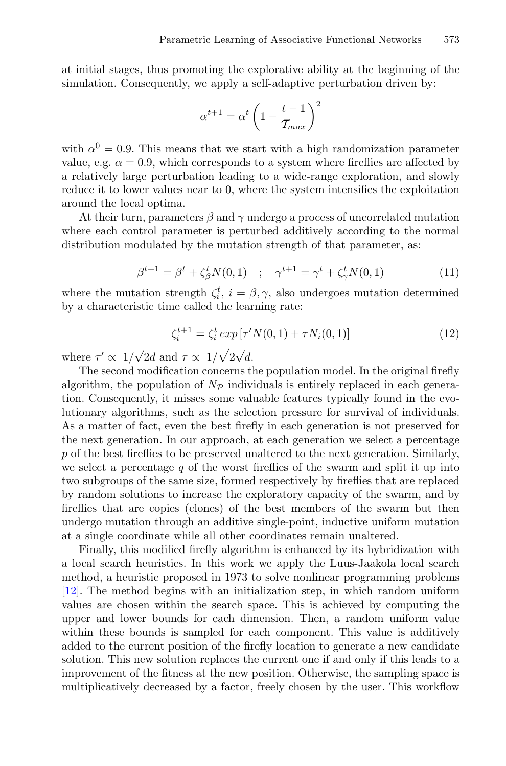at initial stages, thus promoting the explorative ability at the beginning of the simulation. Consequently, we apply a self-adaptive perturbation driven by:

$$
\alpha^{t+1} = \alpha^t \left( 1 - \frac{t-1}{\mathcal{T}_{max}} \right)^2
$$

with  $\alpha^0 = 0.9$ . This means that we start with a high randomization parameter value, e.g.  $\alpha = 0.9$ , which corresponds to a system where fireflies are affected by a relatively large perturbation leading to a wide-range exploration, and slowly reduce it to lower values near to 0, where the system intensifies the exploitation around the local optima.

At their turn, parameters  $\beta$  and  $\gamma$  undergo a process of uncorrelated mutation where each control parameter is perturbed additively according to the normal distribution modulated by the mutation strength of that parameter, as:

$$
\beta^{t+1} = \beta^t + \zeta_{\beta}^t N(0, 1) \quad ; \quad \gamma^{t+1} = \gamma^t + \zeta_{\gamma}^t N(0, 1) \tag{11}
$$

where the mutation strength  $\zeta_i^t$ ,  $i = \beta, \gamma$ , also undergoes mutation determined by a characteristic time called the learning rate:

$$
\zeta_i^{t+1} = \zeta_i^t \exp\left[\tau' N(0, 1) + \tau N_i(0, 1)\right] \tag{12}
$$

where  $\tau' \propto 1/\sqrt{2d}$  and  $\tau \propto 1/\sqrt{2\sqrt{d}}$ .

The second modification concerns the population model. In the original firefly algorithm, the population of  $N_{\mathcal{P}}$  individuals is entirely replaced in each generation. Consequently, it misses some valuable features typically found in the evolutionary algorithms, such as the selection pressure for survival of individuals. As a matter of fact, even the best firefly in each generation is not preserved for the next generation. In our approach, at each generation we select a percentage p of the best fireflies to be preserved unaltered to the next generation. Similarly, we select a percentage  $q$  of the worst fireflies of the swarm and split it up into two subgroups of the same size, formed respectively by fireflies that are replaced by random solutions to increase the exploratory capacity of the swarm, and by fireflies that are copies (clones) of the best members of the swarm but then undergo mutation through an additive single-point, inductive uniform mutation at a single coordinate while all other coordinates remain unaltered.

Finally, this modified firefly algorithm is enhanced by its hybridization with a local search heuristics. In this work we apply the Luus-Jaakola local search method, a heuristic proposed in 1973 to solve nonlinear programming problems [\[12](#page-12-10)]. The method begins with an initialization step, in which random uniform values are chosen within the search space. This is achieved by computing the upper and lower bounds for each dimension. Then, a random uniform value within these bounds is sampled for each component. This value is additively added to the current position of the firefly location to generate a new candidate solution. This new solution replaces the current one if and only if this leads to a improvement of the fitness at the new position. Otherwise, the sampling space is multiplicatively decreased by a factor, freely chosen by the user. This workflow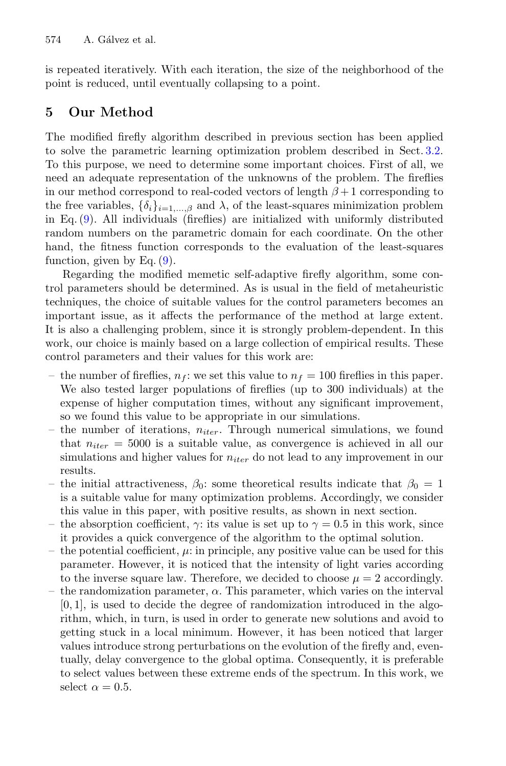is repeated iteratively. With each iteration, the size of the neighborhood of the point is reduced, until eventually collapsing to a point.

# <span id="page-8-0"></span>**5 Our Method**

The modified firefly algorithm described in previous section has been applied to solve the parametric learning optimization problem described in Sect. [3.2.](#page-4-4) To this purpose, we need to determine some important choices. First of all, we need an adequate representation of the unknowns of the problem. The fireflies in our method correspond to real-coded vectors of length  $\beta + 1$  corresponding to the free variables,  $\{\delta_i\}_{i=1,\ldots,g}$  and  $\lambda$ , of the least-squares minimization problem in Eq. [\(9\)](#page-5-1). All individuals (fireflies) are initialized with uniformly distributed random numbers on the parametric domain for each coordinate. On the other hand, the fitness function corresponds to the evaluation of the least-squares function, given by Eq.  $(9)$ .

Regarding the modified memetic self-adaptive firefly algorithm, some control parameters should be determined. As is usual in the field of metaheuristic techniques, the choice of suitable values for the control parameters becomes an important issue, as it affects the performance of the method at large extent. It is also a challenging problem, since it is strongly problem-dependent. In this work, our choice is mainly based on a large collection of empirical results. These control parameters and their values for this work are:

- the number of fireflies,  $n_f$ : we set this value to  $n_f = 100$  fireflies in this paper. We also tested larger populations of fireflies (up to 300 individuals) at the expense of higher computation times, without any significant improvement, so we found this value to be appropriate in our simulations.
- the number of iterations,  $n_{iter}$ . Through numerical simulations, we found that  $n_{iter} = 5000$  is a suitable value, as convergence is achieved in all our simulations and higher values for  $n_{iter}$  do not lead to any improvement in our results.
- the initial attractiveness,  $\beta_0$ : some theoretical results indicate that  $\beta_0 = 1$ is a suitable value for many optimization problems. Accordingly, we consider this value in this paper, with positive results, as shown in next section.
- the absorption coefficient,  $\gamma$ : its value is set up to  $\gamma = 0.5$  in this work, since it provides a quick convergence of the algorithm to the optimal solution.
- the potential coefficient,  $\mu$ : in principle, any positive value can be used for this parameter. However, it is noticed that the intensity of light varies according to the inverse square law. Therefore, we decided to choose  $\mu = 2$  accordingly.
- the randomization parameter,  $\alpha$ . This parameter, which varies on the interval  $[0, 1]$ , is used to decide the degree of randomization introduced in the algorithm, which, in turn, is used in order to generate new solutions and avoid to getting stuck in a local minimum. However, it has been noticed that larger values introduce strong perturbations on the evolution of the firefly and, eventually, delay convergence to the global optima. Consequently, it is preferable to select values between these extreme ends of the spectrum. In this work, we select  $\alpha = 0.5$ .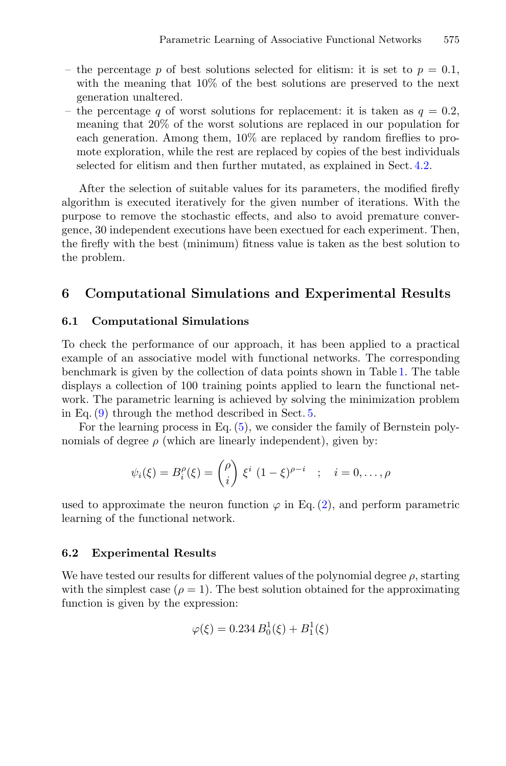- the percentage p of best solutions selected for elitism: it is set to  $p = 0.1$ , with the meaning that 10% of the best solutions are preserved to the next generation unaltered.
- the percentage q of worst solutions for replacement: it is taken as  $q = 0.2$ , meaning that 20% of the worst solutions are replaced in our population for each generation. Among them, 10% are replaced by random fireflies to promote exploration, while the rest are replaced by copies of the best individuals selected for elitism and then further mutated, as explained in Sect. [4.2.](#page-6-1)

After the selection of suitable values for its parameters, the modified firefly algorithm is executed iteratively for the given number of iterations. With the purpose to remove the stochastic effects, and also to avoid premature convergence, 30 independent executions have been exectued for each experiment. Then, the firefly with the best (minimum) fitness value is taken as the best solution to the problem.

## <span id="page-9-0"></span>**6 Computational Simulations and Experimental Results**

#### **6.1 Computational Simulations**

To check the performance of our approach, it has been applied to a practical example of an associative model with functional networks. The corresponding benchmark is given by the collection of data points shown in Table [1.](#page-10-0) The table displays a collection of 100 training points applied to learn the functional network. The parametric learning is achieved by solving the minimization problem in Eq. [\(9\)](#page-5-1) through the method described in Sect. [5.](#page-8-0)

For the learning process in Eq. [\(5\)](#page-5-2), we consider the family of Bernstein polynomials of degree  $\rho$  (which are linearly independent), given by:

$$
\psi_i(\xi) = B_i^{\rho}(\xi) = {\rho \choose i} \xi^i (1 - \xi)^{\rho - i} \; ; \; i = 0, ..., \rho
$$

used to approximate the neuron function  $\varphi$  in Eq. [\(2\)](#page-4-3), and perform parametric learning of the functional network.

#### **6.2 Experimental Results**

We have tested our results for different values of the polynomial degree  $\rho$ , starting with the simplest case ( $\rho = 1$ ). The best solution obtained for the approximating function is given by the expression:

$$
\varphi(\xi) = 0.234 B_0^1(\xi) + B_1^1(\xi)
$$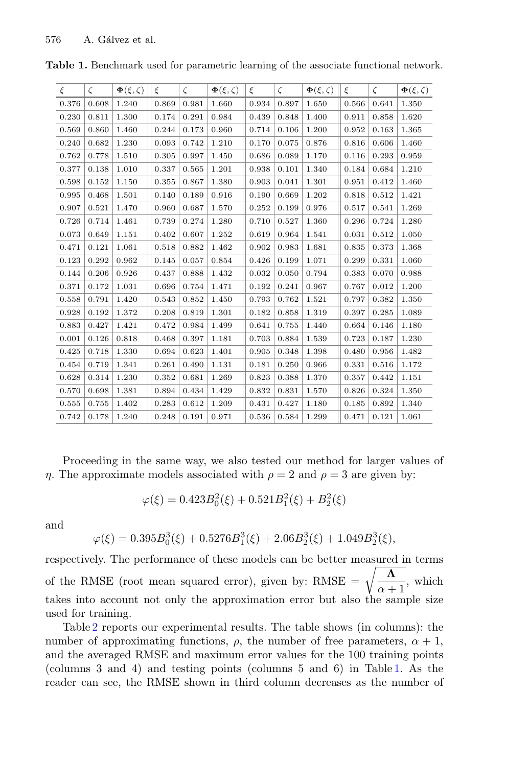<span id="page-10-0"></span>

| ξ     | $\zeta$ | $\Phi(\xi,\zeta)$ | ξ     | $\zeta$ | $\Phi(\xi,\zeta)$ | ξ     | $\zeta$ | $\Phi(\xi,\zeta)$ | ξ     | $\zeta$ | $\Phi(\xi,\zeta)$ |
|-------|---------|-------------------|-------|---------|-------------------|-------|---------|-------------------|-------|---------|-------------------|
| 0.376 | 0.608   | 1.240             | 0.869 | 0.981   | 1.660             | 0.934 | 0.897   | 1.650             | 0.566 | 0.641   | 1.350             |
| 0.230 | 0.811   | 1.300             | 0.174 | 0.291   | 0.984             | 0.439 | 0.848   | 1.400             | 0.911 | 0.858   | 1.620             |
| 0.569 | 0.860   | 1.460             | 0.244 | 0.173   | 0.960             | 0.714 | 0.106   | 1.200             | 0.952 | 0.163   | 1.365             |
| 0.240 | 0.682   | 1.230             | 0.093 | 0.742   | 1.210             | 0.170 | 0.075   | 0.876             | 0.816 | 0.606   | 1.460             |
| 0.762 | 0.778   | 1.510             | 0.305 | 0.997   | 1.450             | 0.686 | 0.089   | 1.170             | 0.116 | 0.293   | 0.959             |
| 0.377 | 0.138   | 1.010             | 0.337 | 0.565   | 1.201             | 0.938 | 0.101   | 1.340             | 0.184 | 0.684   | 1.210             |
| 0.598 | 0.152   | 1.150             | 0.355 | 0.867   | 1.380             | 0.903 | 0.041   | 1.301             | 0.951 | 0.412   | 1.460             |
| 0.995 | 0.468   | 1.501             | 0.140 | 0.189   | 0.916             | 0.190 | 0.669   | 1.202             | 0.818 | 0.512   | 1.421             |
| 0.907 | 0.521   | 1.470             | 0.960 | 0.687   | 1.570             | 0.252 | 0.199   | 0.976             | 0.517 | 0.541   | 1.269             |
| 0.726 | 0.714   | 1.461             | 0.739 | 0.274   | 1.280             | 0.710 | 0.527   | 1.360             | 0.296 | 0.724   | 1.280             |
| 0.073 | 0.649   | 1.151             | 0.402 | 0.607   | 1.252             | 0.619 | 0.964   | 1.541             | 0.031 | 0.512   | 1.050             |
| 0.471 | 0.121   | 1.061             | 0.518 | 0.882   | 1.462             | 0.902 | 0.983   | 1.681             | 0.835 | 0.373   | 1.368             |
| 0.123 | 0.292   | 0.962             | 0.145 | 0.057   | 0.854             | 0.426 | 0.199   | 1.071             | 0.299 | 0.331   | 1.060             |
| 0.144 | 0.206   | 0.926             | 0.437 | 0.888   | 1.432             | 0.032 | 0.050   | 0.794             | 0.383 | 0.070   | 0.988             |
| 0.371 | 0.172   | 1.031             | 0.696 | 0.754   | 1.471             | 0.192 | 0.241   | 0.967             | 0.767 | 0.012   | 1.200             |
| 0.558 | 0.791   | 1.420             | 0.543 | 0.852   | 1.450             | 0.793 | 0.762   | 1.521             | 0.797 | 0.382   | 1.350             |
| 0.928 | 0.192   | 1.372             | 0.208 | 0.819   | 1.301             | 0.182 | 0.858   | 1.319             | 0.397 | 0.285   | 1.089             |
| 0.883 | 0.427   | 1.421             | 0.472 | 0.984   | 1.499             | 0.641 | 0.755   | 1.440             | 0.664 | 0.146   | 1.180             |
| 0.001 | 0.126   | 0.818             | 0.468 | 0.397   | 1.181             | 0.703 | 0.884   | 1.539             | 0.723 | 0.187   | 1.230             |
| 0.425 | 0.718   | 1.330             | 0.694 | 0.623   | 1.401             | 0.905 | 0.348   | 1.398             | 0.480 | 0.956   | 1.482             |
| 0.454 | 0.719   | 1.341             | 0.261 | 0.490   | 1.131             | 0.181 | 0.250   | 0.966             | 0.331 | 0.516   | 1.172             |
| 0.628 | 0.314   | 1.230             | 0.352 | 0.681   | 1.269             | 0.823 | 0.388   | 1.370             | 0.357 | 0.442   | 1.151             |
| 0.570 | 0.698   | 1.381             | 0.894 | 0.434   | 1.429             | 0.832 | 0.831   | 1.570             | 0.826 | 0.324   | 1.350             |
| 0.555 | 0.755   | 1.402             | 0.283 | 0.612   | 1.209             | 0.431 | 0.427   | 1.180             | 0.185 | 0.892   | 1.340             |
| 0.742 | 0.178   | 1.240             | 0.248 | 0.191   | 0.971             | 0.536 | 0.584   | 1.299             | 0.471 | 0.121   | 1.061             |

**Table 1.** Benchmark used for parametric learning of the associate functional network.

Proceeding in the same way, we also tested our method for larger values of η. The approximate models associated with  $\rho = 2$  and  $\rho = 3$  are given by:

$$
\varphi(\xi) = 0.423B_0^2(\xi) + 0.521B_1^2(\xi) + B_2^2(\xi)
$$

and

$$
\varphi(\xi) = 0.395B_0^3(\xi) + 0.5276B_1^3(\xi) + 2.06B_2^3(\xi) + 1.049B_2^3(\xi),
$$

respectively. The performance of these models can be better measured in terms of the RMSE (root mean squared error), given by: RMSE =  $\sqrt{\frac{\Lambda}{\alpha+1}}$ , which takes into account not only the approximation error but also the sample size used for training.

Table [2](#page-11-0) reports our experimental results. The table shows (in columns): the number of approximating functions,  $\rho$ , the number of free parameters,  $\alpha + 1$ , and the averaged RMSE and maximum error values for the 100 training points (columns 3 and 4) and testing points (columns 5 and 6) in Table [1.](#page-10-0) As the reader can see, the RMSE shown in third column decreases as the number of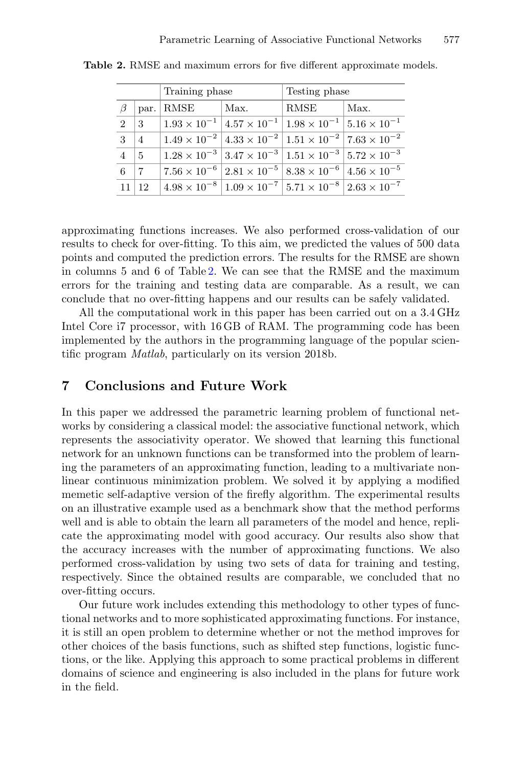<span id="page-11-0"></span>

|                             |                | Training phase |                                                                                                              | Testing phase |      |  |  |
|-----------------------------|----------------|----------------|--------------------------------------------------------------------------------------------------------------|---------------|------|--|--|
| $\beta$                     |                | par. RMSE      | Max.                                                                                                         | RMSE          | Max. |  |  |
| $\mathcal{D}_{\mathcal{L}}$ | 3              |                | $1.93 \times 10^{-1}$ $4.57 \times 10^{-1}$ $1.98 \times 10^{-1}$ $5.16 \times 10^{-1}$                      |               |      |  |  |
| 3                           | $\overline{4}$ |                | $1.49 \times 10^{-2}$ $  4.33 \times 10^{-2}   1.51 \times 10^{-2}   7.63 \times 10^{-2}$                    |               |      |  |  |
| $\overline{4}$              | $\overline{5}$ |                | $1.28 \times 10^{-3}$ $3.47 \times 10^{-3}$ $1.51 \times 10^{-3}$ $5.72 \times 10^{-3}$                      |               |      |  |  |
| 6                           | $\overline{7}$ |                | $7.56 \times 10^{-6}$ $\mid$ $2.81 \times 10^{-5}$ $\mid$ $8.38 \times 10^{-6}$ $\mid$ $4.56 \times 10^{-5}$ |               |      |  |  |
| 11                          | 12             |                | $4.98 \times 10^{-8}$ $1.09 \times 10^{-7}$ $5.71 \times 10^{-8}$ $2.63 \times 10^{-7}$                      |               |      |  |  |

**Table 2.** RMSE and maximum errors for five different approximate models.

approximating functions increases. We also performed cross-validation of our results to check for over-fitting. To this aim, we predicted the values of 500 data points and computed the prediction errors. The results for the RMSE are shown in columns 5 and 6 of Table [2.](#page-11-0) We can see that the RMSE and the maximum errors for the training and testing data are comparable. As a result, we can conclude that no over-fitting happens and our results can be safely validated.

All the computational work in this paper has been carried out on a 3.4 GHz Intel Core i7 processor, with 16 GB of RAM. The programming code has been implemented by the authors in the programming language of the popular scientific program *Matlab*, particularly on its version 2018b.

### **7 Conclusions and Future Work**

In this paper we addressed the parametric learning problem of functional networks by considering a classical model: the associative functional network, which represents the associativity operator. We showed that learning this functional network for an unknown functions can be transformed into the problem of learning the parameters of an approximating function, leading to a multivariate nonlinear continuous minimization problem. We solved it by applying a modified memetic self-adaptive version of the firefly algorithm. The experimental results on an illustrative example used as a benchmark show that the method performs well and is able to obtain the learn all parameters of the model and hence, replicate the approximating model with good accuracy. Our results also show that the accuracy increases with the number of approximating functions. We also performed cross-validation by using two sets of data for training and testing, respectively. Since the obtained results are comparable, we concluded that no over-fitting occurs.

Our future work includes extending this methodology to other types of functional networks and to more sophisticated approximating functions. For instance, it is still an open problem to determine whether or not the method improves for other choices of the basis functions, such as shifted step functions, logistic functions, or the like. Applying this approach to some practical problems in different domains of science and engineering is also included in the plans for future work in the field.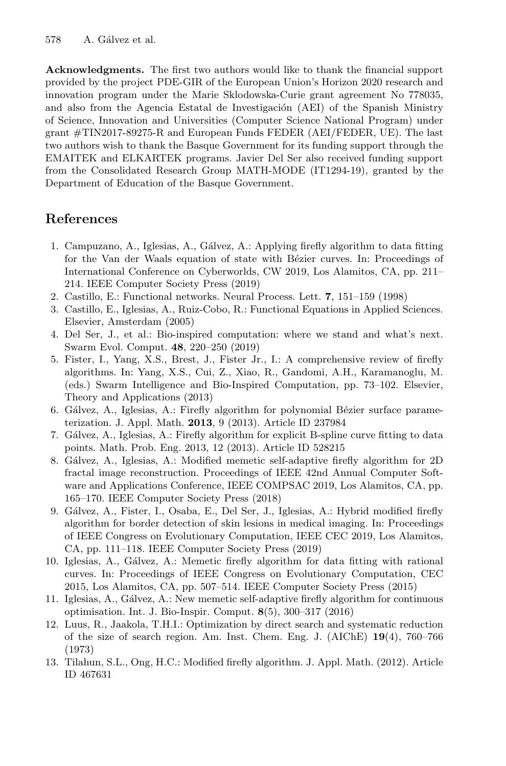**Acknowledgments.** The first two authors would like to thank the financial support provided by the project PDE-GIR of the European Union's Horizon 2020 research and innovation program under the Marie Sklodowska-Curie grant agreement No 778035, and also from the Agencia Estatal de Investigación (AEI) of the Spanish Ministry of Science, Innovation and Universities (Computer Science National Program) under grant #TIN2017-89275-R and European Funds FEDER (AEI/FEDER, UE). The last two authors wish to thank the Basque Government for its funding support through the EMAITEK and ELKARTEK programs. Javier Del Ser also received funding support from the Consolidated Research Group MATH-MODE (IT1294-19), granted by the Department of Education of the Basque Government.

# **References**

- <span id="page-12-3"></span>1. Campuzano, A., Iglesias, A., Gálvez, A.: Applying firefly algorithm to data fitting for the Van der Waals equation of state with Bézier curves. In: Proceedings of International Conference on Cyberworlds, CW 2019, Los Alamitos, CA, pp. 211– 214. IEEE Computer Society Press (2019)
- <span id="page-12-0"></span>2. Castillo, E.: Functional networks. Neural Process. Lett. **7**, 151–159 (1998)
- <span id="page-12-1"></span>3. Castillo, E., Iglesias, A., Ruiz-Cobo, R.: Functional Equations in Applied Sciences. Elsevier, Amsterdam (2005)
- <span id="page-12-2"></span>4. Del Ser, J., et al.: Bio-inspired computation: where we stand and what's next. Swarm Evol. Comput. **48**, 220–250 (2019)
- <span id="page-12-9"></span>5. Fister, I., Yang, X.S., Brest, J., Fister Jr., I.: A comprehensive review of firefly algorithms. In: Yang, X.S., Cui, Z., Xiao, R., Gandomi, A.H., Karamanoglu, M. (eds.) Swarm Intelligence and Bio-Inspired Computation, pp. 73–102. Elsevier, Theory and Applications (2013)
- <span id="page-12-4"></span>6. Gálvez, A., Iglesias, A.: Firefly algorithm for polynomial Bézier surface parameterization. J. Appl. Math. **2013**, 9 (2013). Article ID 237984
- 7. Gálvez, A., Iglesias, A.: Firefly algorithm for explicit B-spline curve fitting to data points. Math. Prob. Eng. 2013, 12 (2013). Article ID 528215
- 8. Gálvez, A., Iglesias, A.: Modified memetic self-adaptive firefly algorithm for 2D fractal image reconstruction. Proceedings of IEEE 42nd Annual Computer Software and Applications Conference, IEEE COMPSAC 2019, Los Alamitos, CA, pp. 165–170. IEEE Computer Society Press (2018)
- <span id="page-12-5"></span>9. Gálvez, A., Fister, I., Osaba, E., Del Ser, J., Iglesias, A.: Hybrid modified firefly algorithm for border detection of skin lesions in medical imaging. In: Proceedings of IEEE Congress on Evolutionary Computation, IEEE CEC 2019, Los Alamitos, CA, pp. 111–118. IEEE Computer Society Press (2019)
- <span id="page-12-6"></span>10. Iglesias, A., G´alvez, A.: Memetic firefly algorithm for data fitting with rational curves. In: Proceedings of IEEE Congress on Evolutionary Computation, CEC 2015, Los Alamitos, CA, pp. 507–514. IEEE Computer Society Press (2015)
- <span id="page-12-7"></span>11. Iglesias, A., G´alvez, A.: New memetic self-adaptive firefly algorithm for continuous optimisation. Int. J. Bio-Inspir. Comput. **8**(5), 300–317 (2016)
- <span id="page-12-10"></span>12. Luus, R., Jaakola, T.H.I.: Optimization by direct search and systematic reduction of the size of search region. Am. Inst. Chem. Eng. J. (AIChE) **19**(4), 760–766 (1973)
- <span id="page-12-8"></span>13. Tilahun, S.L., Ong, H.C.: Modified firefly algorithm. J. Appl. Math. (2012). Article ID 467631